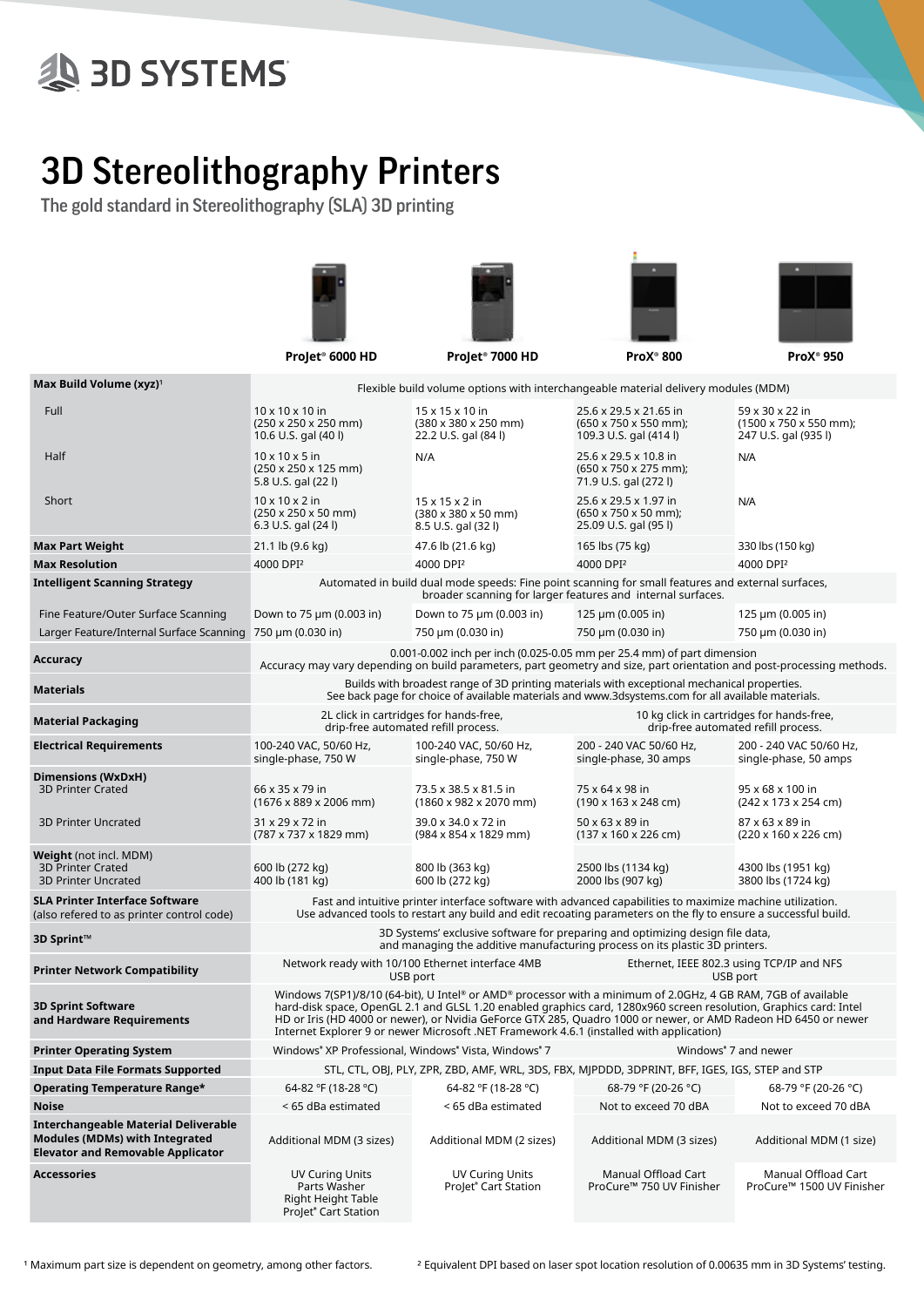# **SD SYSTEMS**

## 3D Stereolithography Printers

The gold standard in Stereolithography (SLA) 3D printing



| Max Build Volume (xyz) <sup>1</sup>                                                                                              | Flexible build volume options with interchangeable material delivery modules (MDM)                                                                                                                                                                                                                                                                                                                                                               |                                                                                                                                                                                             |                                                                                                |                                                                                        |  |  |  |
|----------------------------------------------------------------------------------------------------------------------------------|--------------------------------------------------------------------------------------------------------------------------------------------------------------------------------------------------------------------------------------------------------------------------------------------------------------------------------------------------------------------------------------------------------------------------------------------------|---------------------------------------------------------------------------------------------------------------------------------------------------------------------------------------------|------------------------------------------------------------------------------------------------|----------------------------------------------------------------------------------------|--|--|--|
| Full                                                                                                                             | $10 \times 10 \times 10$ in<br>$(250 \times 250 \times 250 \text{ mm})$<br>10.6 U.S. gal (40 l)                                                                                                                                                                                                                                                                                                                                                  | 15 x 15 x 10 in<br>$(380 \times 380 \times 250 \text{ mm})$<br>22.2 U.S. gal (84 l)                                                                                                         | 25.6 x 29.5 x 21.65 in<br>$(650 \times 750 \times 550 \text{ mm})$ ;<br>109.3 U.S. gal (414 l) | 59 x 30 x 22 in<br>$(1500 \times 750 \times 550 \text{ mm})$ ;<br>247 U.S. gal (935 l) |  |  |  |
| Half                                                                                                                             | $10 \times 10 \times 5$ in<br>$(250 \times 250 \times 125 \text{ mm})$<br>5.8 U.S. gal (22 l)                                                                                                                                                                                                                                                                                                                                                    | N/A                                                                                                                                                                                         | 25.6 x 29.5 x 10.8 in<br>$(650 \times 750 \times 275$ mm);<br>71.9 U.S. gal (272 l)            | N/A                                                                                    |  |  |  |
| Short                                                                                                                            | $10 \times 10 \times 2$ in<br>$(250 \times 250 \times 50 \text{ mm})$<br>6.3 U.S. gal (24 l)                                                                                                                                                                                                                                                                                                                                                     | 25.6 x 29.5 x 1.97 in<br>$15 \times 15 \times 2$ in<br>$(380 \times 380 \times 50 \text{ mm})$<br>$(650 \times 750 \times 50 \text{ mm})$ ;<br>25.09 U.S. gal (95 l)<br>8.5 U.S. gal (32 l) |                                                                                                | N/A                                                                                    |  |  |  |
| <b>Max Part Weight</b>                                                                                                           | 21.1 lb (9.6 kg)                                                                                                                                                                                                                                                                                                                                                                                                                                 | 47.6 lb (21.6 kg)                                                                                                                                                                           | 165 lbs (75 kg)                                                                                | 330 lbs (150 kg)                                                                       |  |  |  |
| <b>Max Resolution</b>                                                                                                            | 4000 DPI <sup>2</sup>                                                                                                                                                                                                                                                                                                                                                                                                                            | 4000 DPI <sup>2</sup>                                                                                                                                                                       | 4000 DPI <sup>2</sup>                                                                          | 4000 DPI <sup>2</sup>                                                                  |  |  |  |
| <b>Intelligent Scanning Strategy</b>                                                                                             | Automated in build dual mode speeds: Fine point scanning for small features and external surfaces,<br>broader scanning for larger features and internal surfaces.                                                                                                                                                                                                                                                                                |                                                                                                                                                                                             |                                                                                                |                                                                                        |  |  |  |
| Fine Feature/Outer Surface Scanning                                                                                              | Down to 75 µm (0.003 in)                                                                                                                                                                                                                                                                                                                                                                                                                         | Down to 75 µm (0.003 in)                                                                                                                                                                    | 125 $\mu$ m (0.005 in)                                                                         | 125 µm (0.005 in)                                                                      |  |  |  |
| Larger Feature/Internal Surface Scanning 750 µm (0.030 in)                                                                       |                                                                                                                                                                                                                                                                                                                                                                                                                                                  | 750 µm (0.030 in)                                                                                                                                                                           | 750 µm (0.030 in)                                                                              | 750 µm (0.030 in)                                                                      |  |  |  |
| <b>Accuracy</b>                                                                                                                  | 0.001-0.002 inch per inch (0.025-0.05 mm per 25.4 mm) of part dimension<br>Accuracy may vary depending on build parameters, part geometry and size, part orientation and post-processing methods                                                                                                                                                                                                                                                 |                                                                                                                                                                                             |                                                                                                |                                                                                        |  |  |  |
| <b>Materials</b>                                                                                                                 | Builds with broadest range of 3D printing materials with exceptional mechanical properties.<br>See back page for choice of available materials and www.3dsystems.com for all available materials.                                                                                                                                                                                                                                                |                                                                                                                                                                                             |                                                                                                |                                                                                        |  |  |  |
| <b>Material Packaging</b>                                                                                                        |                                                                                                                                                                                                                                                                                                                                                                                                                                                  | 2L click in cartridges for hands-free,<br>drip-free automated refill process.                                                                                                               | 10 kg click in cartridges for hands-free,<br>drip-free automated refill process.               |                                                                                        |  |  |  |
| <b>Electrical Requirements</b>                                                                                                   | 100-240 VAC, 50/60 Hz,<br>single-phase, 750 W                                                                                                                                                                                                                                                                                                                                                                                                    | 100-240 VAC, 50/60 Hz,<br>single-phase, 750 W                                                                                                                                               | 200 - 240 VAC 50/60 Hz,<br>single-phase, 30 amps                                               | 200 - 240 VAC 50/60 Hz,<br>single-phase, 50 amps                                       |  |  |  |
| <b>Dimensions (WxDxH)</b><br><b>3D Printer Crated</b>                                                                            | 66 x 35 x 79 in<br>$(1676 \times 889 \times 2006$ mm)                                                                                                                                                                                                                                                                                                                                                                                            | 73.5 x 38.5 x 81.5 in<br>$(1860 \times 982 \times 2070 \text{ mm})$                                                                                                                         | 75 x 64 x 98 in<br>$(190 \times 163 \times 248$ cm)                                            | 95 x 68 x 100 in<br>(242 x 173 x 254 cm)                                               |  |  |  |
| <b>3D Printer Uncrated</b>                                                                                                       | 31 x 29 x 72 in<br>(787 x 737 x 1829 mm)                                                                                                                                                                                                                                                                                                                                                                                                         | 39.0 x 34.0 x 72 in<br>(984 x 854 x 1829 mm)                                                                                                                                                | 50 x 63 x 89 in<br>$(137 \times 160 \times 226$ cm)                                            | 87 x 63 x 89 in<br>$(220 \times 160 \times 226$ cm)                                    |  |  |  |
| <b>Weight</b> (not incl. MDM)<br><b>3D Printer Crated</b><br><b>3D Printer Uncrated</b>                                          | 600 lb (272 kg)<br>400 lb (181 kg)                                                                                                                                                                                                                                                                                                                                                                                                               | 800 lb (363 kg)<br>600 lb (272 kg)                                                                                                                                                          | 2500 lbs (1134 kg)<br>2000 lbs (907 kg)                                                        | 4300 lbs (1951 kg)<br>3800 lbs (1724 kg)                                               |  |  |  |
| <b>SLA Printer Interface Software</b><br>(also refered to as printer control code)                                               | Fast and intuitive printer interface software with advanced capabilities to maximize machine utilization.<br>Use advanced tools to restart any build and edit recoating parameters on the fly to ensure a successful build.                                                                                                                                                                                                                      |                                                                                                                                                                                             |                                                                                                |                                                                                        |  |  |  |
| 3D Sprint™                                                                                                                       | 3D Systems' exclusive software for preparing and optimizing design file data,<br>and managing the additive manufacturing process on its plastic 3D printers.                                                                                                                                                                                                                                                                                     |                                                                                                                                                                                             |                                                                                                |                                                                                        |  |  |  |
| <b>Printer Network Compatibility</b>                                                                                             |                                                                                                                                                                                                                                                                                                                                                                                                                                                  | Network ready with 10/100 Ethernet interface 4MB<br>USB port                                                                                                                                | Ethernet, IEEE 802.3 using TCP/IP and NFS<br>USB port                                          |                                                                                        |  |  |  |
| <b>3D Sprint Software</b><br>and Hardware Requirements                                                                           | Windows 7(SP1)/8/10 (64-bit), U Intel® or AMD® processor with a minimum of 2.0GHz, 4 GB RAM, 7GB of available<br>hard-disk space, OpenGL 2.1 and GLSL 1.20 enabled graphics card, 1280x960 screen resolution, Graphics card: Intel<br>HD or Iris (HD 4000 or newer), or Nvidia GeForce GTX 285, Quadro 1000 or newer, or AMD Radeon HD 6450 or newer<br>Internet Explorer 9 or newer Microsoft .NET Framework 4.6.1 (installed with application) |                                                                                                                                                                                             |                                                                                                |                                                                                        |  |  |  |
| <b>Printer Operating System</b>                                                                                                  |                                                                                                                                                                                                                                                                                                                                                                                                                                                  | Windows <sup>®</sup> XP Professional, Windows <sup>®</sup> Vista, Windows <sup>®</sup> 7                                                                                                    | Windows <sup>®</sup> 7 and newer                                                               |                                                                                        |  |  |  |
| <b>Input Data File Formats Supported</b>                                                                                         | STL, CTL, OBJ, PLY, ZPR, ZBD, AMF, WRL, 3DS, FBX, MJPDDD, 3DPRINT, BFF, IGES, IGS, STEP and STP                                                                                                                                                                                                                                                                                                                                                  |                                                                                                                                                                                             |                                                                                                |                                                                                        |  |  |  |
| Operating Temperature Range*                                                                                                     | 64-82 °F (18-28 °C)                                                                                                                                                                                                                                                                                                                                                                                                                              | 64-82 °F (18-28 °C)                                                                                                                                                                         | 68-79 °F (20-26 °C)                                                                            | 68-79 °F (20-26 °C)                                                                    |  |  |  |
| <b>Noise</b>                                                                                                                     | < 65 dBa estimated                                                                                                                                                                                                                                                                                                                                                                                                                               | < 65 dBa estimated                                                                                                                                                                          | Not to exceed 70 dBA                                                                           | Not to exceed 70 dBA                                                                   |  |  |  |
| <b>Interchangeable Material Deliverable</b><br><b>Modules (MDMs) with Integrated</b><br><b>Elevator and Removable Applicator</b> | Additional MDM (3 sizes)                                                                                                                                                                                                                                                                                                                                                                                                                         | Additional MDM (2 sizes)                                                                                                                                                                    | Additional MDM (3 sizes)                                                                       | Additional MDM (1 size)                                                                |  |  |  |
| <b>Accessories</b>                                                                                                               | <b>UV Curing Units</b><br>Parts Washer<br>Right Height Table<br>ProJet <sup>®</sup> Cart Station                                                                                                                                                                                                                                                                                                                                                 | <b>UV Curing Units</b><br>ProJet <sup>®</sup> Cart Station                                                                                                                                  | Manual Offload Cart<br>ProCure™ 750 UV Finisher                                                | Manual Offload Cart<br>ProCure™ 1500 UV Finisher                                       |  |  |  |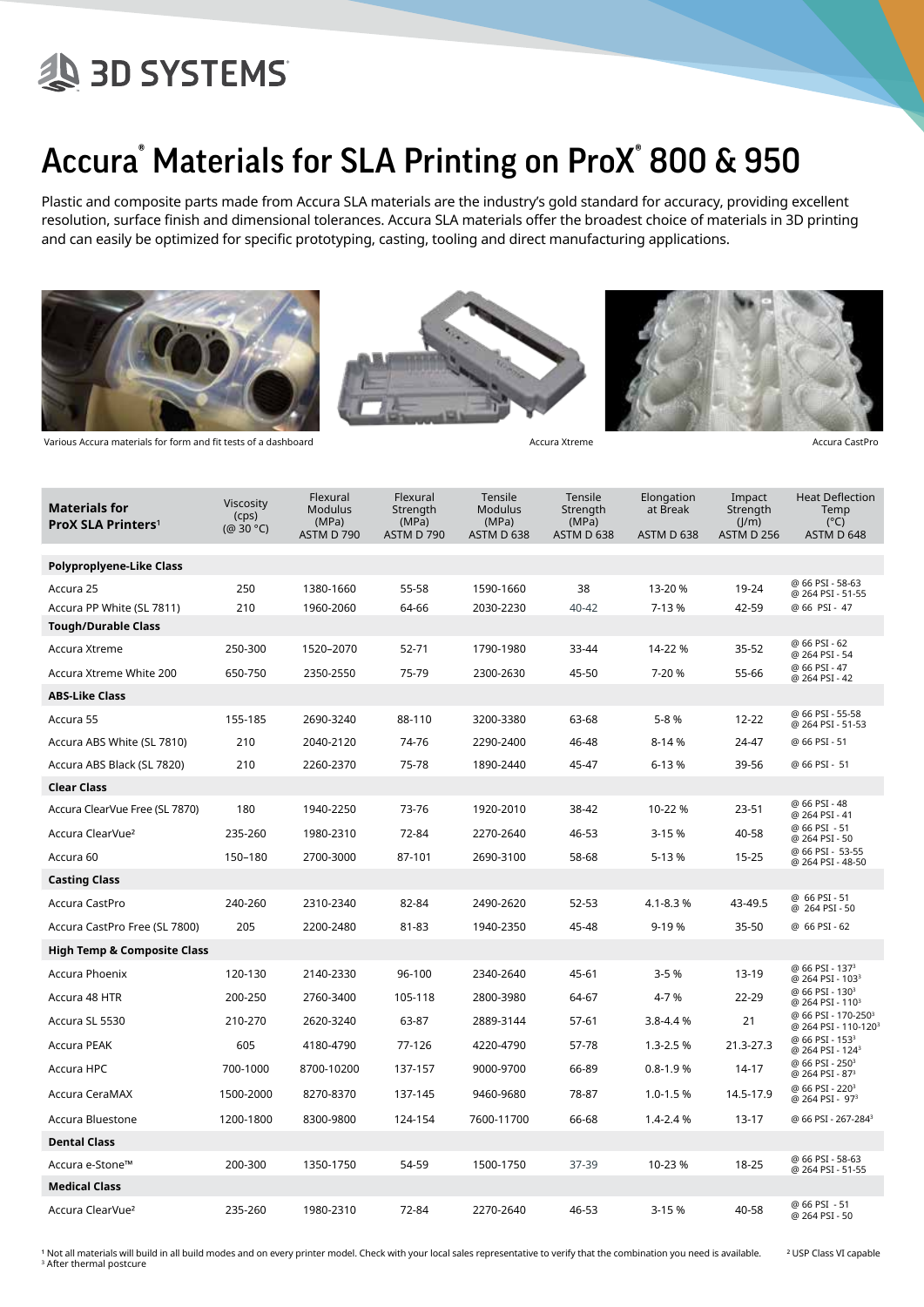# **AD SYSTEMS**

### Accura® Materials for SLA Printing on ProX® 800 & 950

Plastic and composite parts made from Accura SLA materials are the industry's gold standard for accuracy, providing excellent resolution, surface finish and dimensional tolerances. Accura SLA materials offer the broadest choice of materials in 3D printing and can easily be optimized for specific prototyping, casting, tooling and direct manufacturing applications.







| <b>Materials for</b><br><b>ProX SLA Printers<sup>1</sup></b> | <b>Viscosity</b><br>(cps)<br>(@ 30 °C) | Flexural<br>Modulus<br>(MPa)<br>ASTM D 790 | Flexural<br>Strength<br>(MPa)<br>ASTM D 790 | Tensile<br><b>Modulus</b><br>(MPa)<br>ASTM D 638 | Tensile<br>Strength<br>(MPa)<br>ASTM D 638 | Elongation<br>at Break<br>ASTM D 638 | Impact<br>Strength<br>(J/m)<br>ASTM D 256 | <b>Heat Deflection</b><br>Temp<br>$(^{\circ}C)$<br>ASTM D 648       |
|--------------------------------------------------------------|----------------------------------------|--------------------------------------------|---------------------------------------------|--------------------------------------------------|--------------------------------------------|--------------------------------------|-------------------------------------------|---------------------------------------------------------------------|
| Polyproplyene-Like Class                                     |                                        |                                            |                                             |                                                  |                                            |                                      |                                           |                                                                     |
| Accura 25                                                    | 250                                    | 1380-1660                                  | 55-58                                       | 1590-1660                                        | 38                                         | 13-20 %                              | 19-24                                     | @ 66 PSI - 58-63<br>@ 264 PSI - 51-55<br>@ 66 PSI - 47              |
| Accura PP White (SL 7811)<br><b>Tough/Durable Class</b>      | 210                                    | 1960-2060                                  | 64-66                                       | 2030-2230                                        | $40 - 42$                                  | 7-13 %                               | 42-59                                     |                                                                     |
| Accura Xtreme                                                | 250-300                                | 1520-2070                                  | 52-71                                       | 1790-1980                                        | 33-44                                      | 14-22 %                              | 35-52                                     | @ 66 PSI - 62<br>@ 264 PSI - 54                                     |
| Accura Xtreme White 200                                      | 650-750                                | 2350-2550                                  | 75-79                                       | 2300-2630                                        | 45-50                                      | 7-20 %                               | 55-66                                     | @ 66 PSI - 47<br>@ 264 PSI - 42                                     |
| <b>ABS-Like Class</b>                                        |                                        |                                            |                                             |                                                  |                                            |                                      |                                           |                                                                     |
| Accura 55                                                    | 155-185                                | 2690-3240                                  | 88-110                                      | 3200-3380                                        | 63-68                                      | 5-8 %                                | 12-22                                     | @ 66 PSI - 55-58<br>@ 264 PSI - 51-53                               |
| Accura ABS White (SL 7810)                                   | 210                                    | 2040-2120                                  | 74-76                                       | 2290-2400                                        | 46-48                                      | 8-14 %                               | 24-47                                     | @ 66 PSI - 51                                                       |
| Accura ABS Black (SL 7820)                                   | 210                                    | 2260-2370                                  | 75-78                                       | 1890-2440                                        | 45-47                                      | 6-13%                                | 39-56                                     | @ 66 PSI - 51                                                       |
| <b>Clear Class</b>                                           |                                        |                                            |                                             |                                                  |                                            |                                      |                                           |                                                                     |
| Accura ClearVue Free (SL 7870)                               | 180                                    | 1940-2250                                  | 73-76                                       | 1920-2010                                        | 38-42                                      | 10-22 %                              | $23 - 51$                                 | @ 66 PSI - 48<br>@ 264 PSI - 41                                     |
| Accura ClearVue <sup>2</sup>                                 | 235-260                                | 1980-2310                                  | 72-84                                       | 2270-2640                                        | 46-53                                      | 3-15 %                               | 40-58                                     | @ 66 PSI - 51<br>@ 264 PSI - 50                                     |
| Accura 60                                                    | 150-180                                | 2700-3000                                  | 87-101                                      | 2690-3100                                        | 58-68                                      | 5-13 %                               | $15 - 25$                                 | @ 66 PSI - 53-55<br>@ 264 PSI - 48-50                               |
| <b>Casting Class</b>                                         |                                        |                                            |                                             |                                                  |                                            |                                      |                                           |                                                                     |
| Accura CastPro                                               | 240-260                                | 2310-2340                                  | 82-84                                       | 2490-2620                                        | 52-53                                      | 4.1-8.3%                             | 43-49.5                                   | @ 66 PSI - 51<br>@ 264 PSI - 50                                     |
| Accura CastPro Free (SL 7800)                                | 205                                    | 2200-2480                                  | 81-83                                       | 1940-2350                                        | 45-48                                      | $9-19%$                              | 35-50                                     | @ 66 PSI - 62                                                       |
| <b>High Temp &amp; Composite Class</b>                       |                                        |                                            |                                             |                                                  |                                            |                                      |                                           |                                                                     |
| Accura Phoenix                                               | 120-130                                | 2140-2330                                  | 96-100                                      | 2340-2640                                        | 45-61                                      | $3 - 5%$                             | $13-19$                                   | @ 66 PSI - 137 <sup>3</sup><br>@ 264 PSI - 103 <sup>3</sup>         |
| Accura 48 HTR                                                | 200-250                                | 2760-3400                                  | 105-118                                     | 2800-3980                                        | 64-67                                      | 4-7 %                                | 22-29                                     | @ 66 PSI - 130 <sup>3</sup><br>@ 264 PSI - 110 <sup>3</sup>         |
| Accura SL 5530                                               | 210-270                                | 2620-3240                                  | 63-87                                       | 2889-3144                                        | 57-61                                      | 3.8-4.4 %                            | 21                                        | @ 66 PSI - 170-250 <sup>3</sup><br>@ 264 PSI - 110-120 <sup>3</sup> |
| Accura PEAK                                                  | 605                                    | 4180-4790                                  | 77-126                                      | 4220-4790                                        | 57-78                                      | $1.3 - 2.5%$                         | 21.3-27.3                                 | @ 66 PSI - 153 <sup>3</sup><br>@ 264 PSI - 124 <sup>3</sup>         |
| Accura HPC                                                   | 700-1000                               | 8700-10200                                 | 137-157                                     | 9000-9700                                        | 66-89                                      | $0.8 - 1.9 %$                        | 14-17                                     | @ 66 PSI - 250 <sup>3</sup><br>@ 264 PSI - 87 <sup>3</sup>          |
| Accura CeraMAX                                               | 1500-2000                              | 8270-8370                                  | 137-145                                     | 9460-9680                                        | 78-87                                      | $1.0 - 1.5%$                         | 14.5-17.9                                 | @ 66 PSI - 220 <sup>3</sup><br>@ 264 PSI - 97 <sup>3</sup>          |
| Accura Bluestone                                             | 1200-1800                              | 8300-9800                                  | 124-154                                     | 7600-11700                                       | 66-68                                      | 1.4-2.4 %                            | $13-17$                                   | @ 66 PSI - 267-284 <sup>3</sup>                                     |
| <b>Dental Class</b>                                          |                                        |                                            |                                             |                                                  |                                            |                                      |                                           |                                                                     |
| Accura e-Stone™                                              | 200-300                                | 1350-1750                                  | 54-59                                       | 1500-1750                                        | 37-39                                      | 10-23 %                              | 18-25                                     | @ 66 PSI - 58-63<br>@ 264 PSI - 51-55                               |
| <b>Medical Class</b>                                         |                                        |                                            |                                             |                                                  |                                            |                                      |                                           |                                                                     |
| Accura ClearVue <sup>2</sup>                                 | 235-260                                | 1980-2310                                  | 72-84                                       | 2270-2640                                        | 46-53                                      | 3-15%                                | 40-58                                     | @ 66 PSI - 51<br>@ 264 PSI - 50                                     |

<sup>1</sup> Not all materials will build in all build modes and on every printer model. Check with your local sales representative to verify that the combination you need is available. <sup>2</sup> USP Class VI capable <sup>3</sup> After thermal postcure